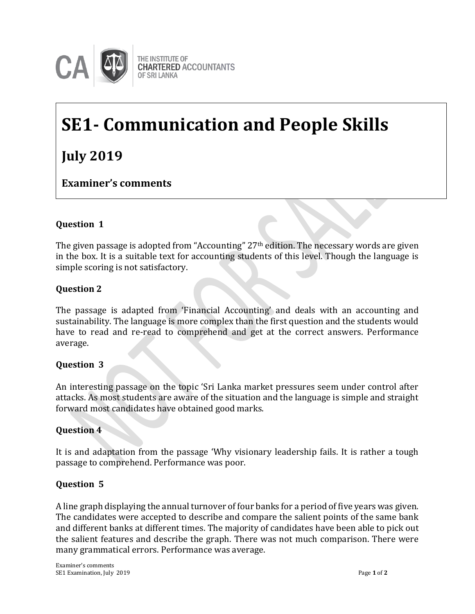

# **SE1- Communication and People Skills**

## **July 2019**

**Examiner's comments**

### **Question 1**

The given passage is adopted from "Accounting" 27th edition. The necessary words are given **Examiner's Comments**in the box. It is a suitable text for accounting students of this level. Though the language is simple scoring is not satisfactory.

#### **Question 2**

The passage is adapted from 'Financial Accounting' and deals with an accounting and sustainability. The language is more complex than the first question and the students would have to read and re-read to comprehend and get at the correct answers. Performance average.

#### **Question 3**

An interesting passage on the topic 'Sri Lanka market pressures seem under control after attacks. As most students are aware of the situation and the language is simple and straight forward most candidates have obtained good marks.

#### **Question 4**

It is and adaptation from the passage 'Why visionary leadership fails. It is rather a tough passage to comprehend. Performance was poor.

#### **Question 5**

A line graph displaying the annual turnover of four banks for a period of five years was given. The candidates were accepted to describe and compare the salient points of the same bank and different banks at different times. The majority of candidates have been able to pick out the salient features and describe the graph. There was not much comparison. There were many grammatical errors. Performance was average.